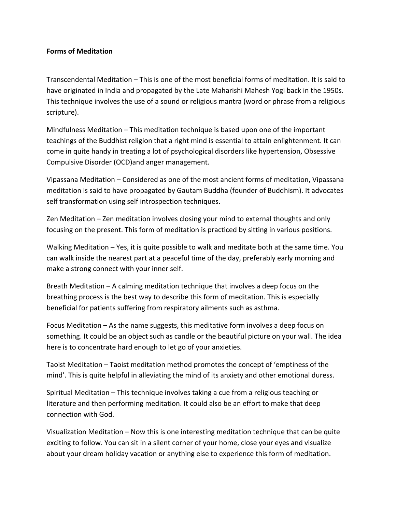## **Forms of Meditation**

Transcendental Meditation – This is one of the most beneficial forms of meditation. It is said to have originated in India and propagated by the Late Maharishi Mahesh Yogi back in the 1950s. This technique involves the use of a sound or religious mantra (word or phrase from a religious scripture).

Mindfulness Meditation – This meditation technique is based upon one of the important teachings of the Buddhist religion that a right mind is essential to attain enlightenment. It can come in quite handy in treating a lot of psychological disorders like hypertension, Obsessive Compulsive Disorder (OCD)and anger management.

Vipassana Meditation – Considered as one of the most ancient forms of meditation, Vipassana meditation is said to have propagated by Gautam Buddha (founder of Buddhism). It advocates self transformation using self introspection techniques.

Zen Meditation – Zen meditation involves closing your mind to external thoughts and only focusing on the present. This form of meditation is practiced by sitting in various positions.

Walking Meditation – Yes, it is quite possible to walk and meditate both at the same time. You can walk inside the nearest part at a peaceful time of the day, preferably early morning and make a strong connect with your inner self.

Breath Meditation – A calming meditation technique that involves a deep focus on the breathing process is the best way to describe this form of meditation. This is especially beneficial for patients suffering from respiratory ailments such as asthma.

Focus Meditation – As the name suggests, this meditative form involves a deep focus on something. It could be an object such as candle or the beautiful picture on your wall. The idea here is to concentrate hard enough to let go of your anxieties.

Taoist Meditation – Taoist meditation method promotes the concept of 'emptiness of the mind'. This is quite helpful in alleviating the mind of its anxiety and other emotional duress.

Spiritual Meditation – This technique involves taking a cue from a religious teaching or literature and then performing meditation. It could also be an effort to make that deep connection with God.

Visualization Meditation – Now this is one interesting meditation technique that can be quite exciting to follow. You can sit in a silent corner of your home, close your eyes and visualize about your dream holiday vacation or anything else to experience this form of meditation.